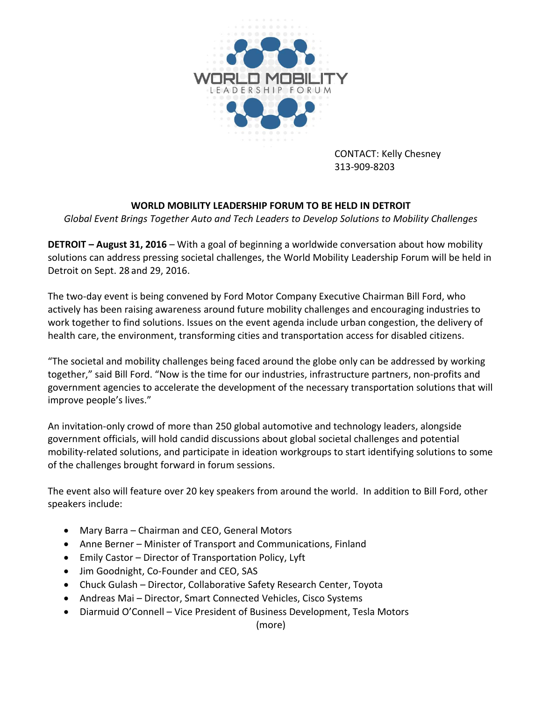

CONTACT: Kelly Chesney 313-909-8203

## **WORLD MOBILITY LEADERSHIP FORUM TO BE HELD IN DETROIT**

*Global Event Brings Together Auto and Tech Leaders to Develop Solutions to Mobility Challenges*

**DETROIT – August 31, 2016** – With a goal of beginning a worldwide conversation about how mobility solutions can address pressing societal challenges, the World Mobility Leadership Forum will be held in Detroit on Sept. 28 and 29, 2016.

The two-day event is being convened by Ford Motor Company Executive Chairman Bill Ford, who actively has been raising awareness around future mobility challenges and encouraging industries to work together to find solutions. Issues on the event agenda include urban congestion, the delivery of health care, the environment, transforming cities and transportation access for disabled citizens.

"The societal and mobility challenges being faced around the globe only can be addressed by working together," said Bill Ford. "Now is the time for our industries, infrastructure partners, non-profits and government agencies to accelerate the development of the necessary transportation solutions that will improve people's lives."

An invitation-only crowd of more than 250 global automotive and technology leaders, alongside government officials, will hold candid discussions about global societal challenges and potential mobility-related solutions, and participate in ideation workgroups to start identifying solutions to some of the challenges brought forward in forum sessions.

The event also will feature over 20 key speakers from around the world. In addition to Bill Ford, other speakers include:

- Mary Barra Chairman and CEO, General Motors
- Anne Berner Minister of Transport and Communications, Finland
- Emily Castor Director of Transportation Policy, Lyft
- Jim Goodnight, Co-Founder and CEO, SAS
- Chuck Gulash Director, Collaborative Safety Research Center, Toyota
- Andreas Mai Director, Smart Connected Vehicles, Cisco Systems
- Diarmuid O'Connell Vice President of Business Development, Tesla Motors

(more)